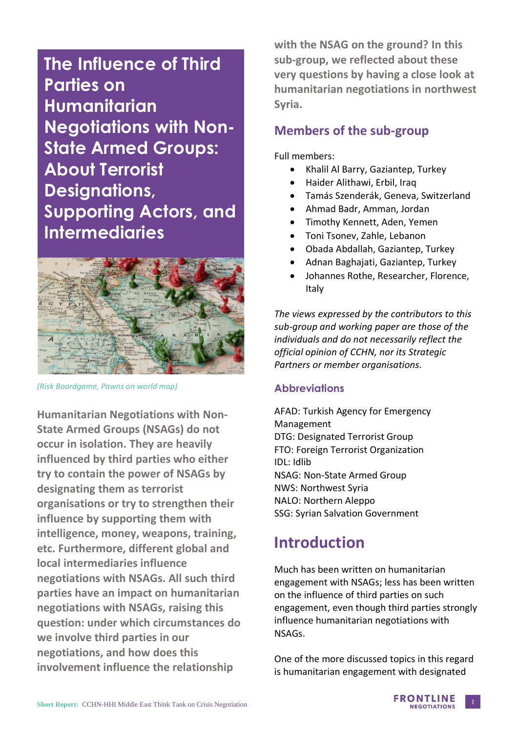**The Influence of Third Parties on Humanitarian Negotiations with Non-State Armed Groups: About Terrorist Designations, Supporting Actors, and Intermediaries**



*(Risk Boardgame, Pawns on world map)*

**Humanitarian Negotiations with Non-State Armed Groups (NSAGs) do not occur in isolation. They are heavily influenced by third parties who either try to contain the power of NSAGs by designating them as terrorist organisations or try to strengthen their influence by supporting them with intelligence, money, weapons, training, etc. Furthermore, different global and local intermediaries influence negotiations with NSAGs. All such third parties have an impact on humanitarian negotiations with NSAGs, raising this question: under which circumstances do we involve third parties in our negotiations, and how does this involvement influence the relationship**

**with the NSAG on the ground? In this sub-group, we reflected about these very questions by having a close look at humanitarian negotiations in northwest Syria.** 

### **Members of the sub-group**

Full members:

- Khalil Al Barry, Gaziantep, Turkey
- Haider Alithawi, Erbil, Iraq
- Tamás Szenderák, Geneva, Switzerland
- Ahmad Badr, Amman, Jordan
- Timothy Kennett, Aden, Yemen
- Toni Tsonev, Zahle, Lebanon
- Obada Abdallah, Gaziantep, Turkey
- Adnan Baghajati, Gaziantep, Turkey
- Johannes Rothe, Researcher, Florence, Italy

*The views expressed by the contributors to this sub-group and working paper are those of the individuals and do not necessarily reflect the official opinion of CCHN, nor its Strategic Partners or member organisations.*

### **Abbreviations**

AFAD: Turkish Agency for Emergency Management DTG: Designated Terrorist Group FTO: Foreign Terrorist Organization IDL: Idlib NSAG: Non-State Armed Group NWS: Northwest Syria NALO: Northern Aleppo SSG: Syrian Salvation Government

# **Introduction**

Much has been written on humanitarian engagement with NSAGs; less has been written on the influence of third parties on such engagement, even though third parties strongly influence humanitarian negotiations with NSAGs.

One of the more discussed topics in this regard is humanitarian engagement with designated

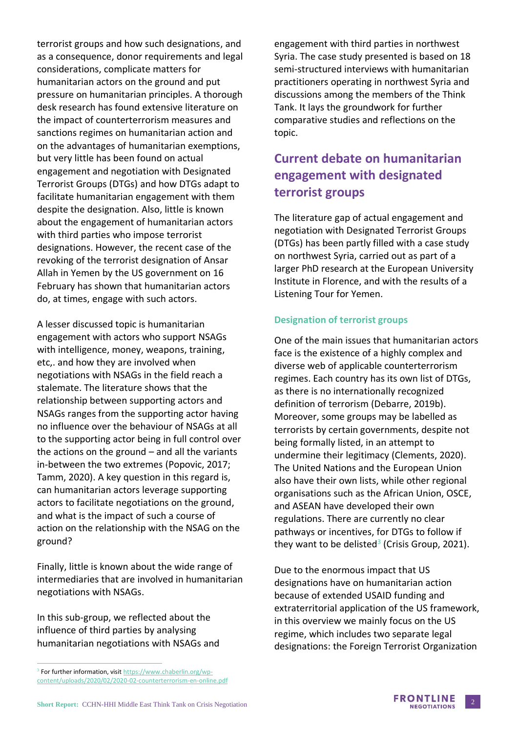terrorist groups and how such designations, and as a consequence, donor requirements and legal considerations, complicate matters for humanitarian actors on the ground and put pressure on humanitarian principles. A thorough desk research has found extensive literature on the impact of counterterrorism measures and sanctions regimes on humanitarian action and on the advantages of humanitarian exemptions, but very little has been found on actual engagement and negotiation with Designated Terrorist Groups (DTGs) and how DTGs adapt to facilitate humanitarian engagement with them despite the designation. Also, little is known about the engagement of humanitarian actors with third parties who impose terrorist designations. However, the recent case of the revoking of the terrorist designation of Ansar Allah in Yemen by the US government on 16 February has shown that humanitarian actors do, at times, engage with such actors.

A lesser discussed topic is humanitarian engagement with actors who support NSAGs with intelligence, money, weapons, training, etc,. and how they are involved when negotiations with NSAGs in the field reach a stalemate. The literature shows that the relationship between supporting actors and NSAGs ranges from the supporting actor having no influence over the behaviour of NSAGs at all to the supporting actor being in full control over the actions on the ground – and all the variants in-between the two extremes (Popovic, 2017; Tamm, 2020). A key question in this regard is, can humanitarian actors leverage supporting actors to facilitate negotiations on the ground, and what is the impact of such a course of action on the relationship with the NSAG on the ground?

Finally, little is known about the wide range of intermediaries that are involved in humanitarian negotiations with NSAGs.

In this sub-group, we reflected about the influence of third parties by analysing humanitarian negotiations with NSAGs and engagement with third parties in northwest Syria. The case study presented is based on 18 semi-structured interviews with humanitarian practitioners operating in northwest Syria and discussions among the members of the Think Tank. It lays the groundwork for further comparative studies and reflections on the topic.

## **Current debate on humanitarian engagement with designated terrorist groups**

The literature gap of actual engagement and negotiation with Designated Terrorist Groups (DTGs) has been partly filled with a case study on northwest Syria, carried out as part of a larger PhD research at the European University Institute in Florence, and with the results of a Listening Tour for Yemen.

### **Designation of terrorist groups**

One of the main issues that humanitarian actors face is the existence of a highly complex and diverse web of applicable counterterrorism regimes. Each country has its own list of DTGs, as there is no internationally recognized definition of terrorism (Debarre, 2019b). Moreover, some groups may be labelled as terrorists by certain governments, despite not being formally listed, in an attempt to undermine their legitimacy (Clements, 2020). The United Nations and the European Union also have their own lists, while other regional organisations such as the African Union, OSCE, and ASEAN have developed their own regulations. There are currently no clear pathways or incentives, for DTGs to follow if they want to be delisted<sup>3</sup> (Crisis Group, 2021).

Due to the enormous impact that US designations have on humanitarian action because of extended USAID funding and extraterritorial application of the US framework, in this overview we mainly focus on the US regime, which includes two separate legal designations: the Foreign Terrorist Organization



<sup>&</sup>lt;sup>3</sup> For further information, visit [https://www.chaberlin.org/wp](https://www.chaberlin.org/wp-content/uploads/2020/02/2020-02-counterterrorism-en-online.pdf)[content/uploads/2020/02/2020-02-counterterrorism-en-online.pdf](https://www.chaberlin.org/wp-content/uploads/2020/02/2020-02-counterterrorism-en-online.pdf)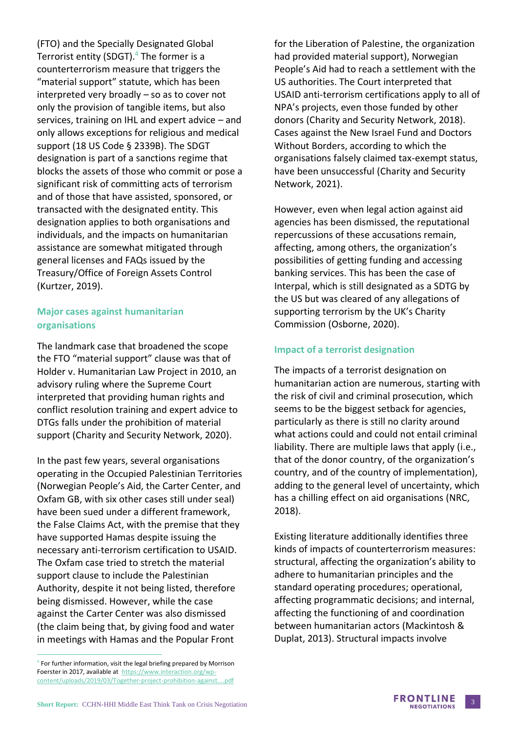(FTO) and the Specially Designated Global Terrorist entity (SDGT). $4$  The former is a counterterrorism measure that triggers the "material support" statute, which has been interpreted very broadly – so as to cover not only the provision of tangible items, but also services, training on IHL and expert advice – and only allows exceptions for religious and medical support (18 US Code § 2339B). The SDGT designation is part of a sanctions regime that blocks the assets of those who commit or pose a significant risk of committing acts of terrorism and of those that have assisted, sponsored, or transacted with the designated entity. This designation applies to both organisations and individuals, and the impacts on humanitarian assistance are somewhat mitigated through general licenses and FAQs issued by the Treasury/Office of Foreign Assets Control (Kurtzer, 2019).

### **Major cases against humanitarian organisations**

The landmark case that broadened the scope the FTO "material support" clause was that of Holder v. Humanitarian Law Project in 2010, an advisory ruling where the Supreme Court interpreted that providing human rights and conflict resolution training and expert advice to DTGs falls under the prohibition of material support (Charity and Security Network, 2020).

In the past few years, several organisations operating in the Occupied Palestinian Territories (Norwegian People's Aid, the Carter Center, and Oxfam GB, with six other cases still under seal) have been sued under a different framework, the False Claims Act, with the premise that they have supported Hamas despite issuing the necessary anti-terrorism certification to USAID. The Oxfam case tried to stretch the material support clause to include the Palestinian Authority, despite it not being listed, therefore being dismissed. However, while the case against the Carter Center was also dismissed (the claim being that, by giving food and water in meetings with Hamas and the Popular Front

for the Liberation of Palestine, the organization had provided material support), Norwegian People's Aid had to reach a settlement with the US authorities. The Court interpreted that USAID anti-terrorism certifications apply to all of NPA's projects, even those funded by other donors (Charity and Security Network, 2018). Cases against the New Israel Fund and Doctors Without Borders, according to which the organisations falsely claimed tax-exempt status, have been unsuccessful (Charity and Security Network, 2021).

However, even when legal action against aid agencies has been dismissed, the reputational repercussions of these accusations remain, affecting, among others, the organization's possibilities of getting funding and accessing banking services. This has been the case of Interpal, which is still designated as a SDTG by the US but was cleared of any allegations of supporting terrorism by the UK's Charity Commission (Osborne, 2020).

### **Impact of a terrorist designation**

The impacts of a terrorist designation on humanitarian action are numerous, starting with the risk of civil and criminal prosecution, which seems to be the biggest setback for agencies, particularly as there is still no clarity around what actions could and could not entail criminal liability. There are multiple laws that apply (i.e., that of the donor country, of the organization's country, and of the country of implementation), adding to the general level of uncertainty, which has a chilling effect on aid organisations (NRC, 2018).

Existing literature additionally identifies three kinds of impacts of counterterrorism measures: structural, affecting the organization's ability to adhere to humanitarian principles and the standard operating procedures; operational, affecting programmatic decisions; and internal, affecting the functioning of and coordination between humanitarian actors (Mackintosh & Duplat, 2013). Structural impacts involve



<sup>4</sup> For further information, visit the legal briefing prepared by Morrison Foerster in 2017, available at [https://www.interaction.org/wp](https://www.interaction.org/wp-content/uploads/2019/03/Together-project-prohibition-against....pdf)[content/uploads/2019/03/Together-project-prohibition-against....pdf](https://www.interaction.org/wp-content/uploads/2019/03/Together-project-prohibition-against....pdf)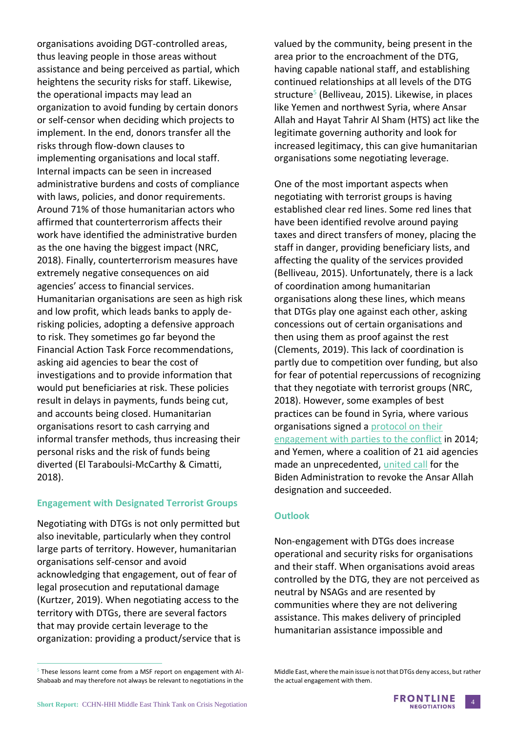organisations avoiding DGT-controlled areas, thus leaving people in those areas without assistance and being perceived as partial, which heightens the security risks for staff. Likewise, the operational impacts may lead an organization to avoid funding by certain donors or self-censor when deciding which projects to implement. In the end, donors transfer all the risks through flow-down clauses to implementing organisations and local staff. Internal impacts can be seen in increased administrative burdens and costs of compliance with laws, policies, and donor requirements. Around 71% of those humanitarian actors who affirmed that counterterrorism affects their work have identified the administrative burden as the one having the biggest impact (NRC, 2018). Finally, counterterrorism measures have extremely negative consequences on aid agencies' access to financial services. Humanitarian organisations are seen as high risk and low profit, which leads banks to apply derisking policies, adopting a defensive approach to risk. They sometimes go far beyond the Financial Action Task Force recommendations, asking aid agencies to bear the cost of investigations and to provide information that would put beneficiaries at risk. These policies result in delays in payments, funds being cut, and accounts being closed. Humanitarian organisations resort to cash carrying and informal transfer methods, thus increasing their personal risks and the risk of funds being diverted (El Taraboulsi-McCarthy & Cimatti, 2018).

### **Engagement with Designated Terrorist Groups**

Negotiating with DTGs is not only permitted but also inevitable, particularly when they control large parts of territory. However, humanitarian organisations self-censor and avoid acknowledging that engagement, out of fear of legal prosecution and reputational damage (Kurtzer, 2019). When negotiating access to the territory with DTGs, there are several factors that may provide certain leverage to the organization: providing a product/service that is valued by the community, being present in the area prior to the encroachment of the DTG, having capable national staff, and establishing continued relationships at all levels of the DTG structure<sup>5</sup> (Belliveau, 2015). Likewise, in places like Yemen and northwest Syria, where Ansar Allah and Hayat Tahrir Al Sham (HTS) act like the legitimate governing authority and look for increased legitimacy, this can give humanitarian organisations some negotiating leverage.

One of the most important aspects when negotiating with terrorist groups is having established clear red lines. Some red lines that have been identified revolve around paying taxes and direct transfers of money, placing the staff in danger, providing beneficiary lists, and affecting the quality of the services provided (Belliveau, 2015). Unfortunately, there is a lack of coordination among humanitarian organisations along these lines, which means that DTGs play one against each other, asking concessions out of certain organisations and then using them as proof against the rest (Clements, 2019). This lack of coordination is partly due to competition over funding, but also for fear of potential repercussions of recognizing that they negotiate with terrorist groups (NRC, 2018). However, some examples of best practices can be found in Syria, where various organisations signed a [protocol on their](https://www.humanitarianresponse.info/sites/www.humanitarianresponse.info/files/documents/files/jop_protocol_for_engagement_with_parties_conflict_eng_final.pdf)  [engagement with parties to the conflict](https://www.humanitarianresponse.info/sites/www.humanitarianresponse.info/files/documents/files/jop_protocol_for_engagement_with_parties_conflict_eng_final.pdf) in 2014; and Yemen, where a coalition of 21 aid agencies made an unprecedented, [united call](https://reliefweb.int/sites/reliefweb.int/files/resources/Joint%20INGO%20designation%20statement%2024%20Jan%202021%20FINAL.PDF) for the Biden Administration to revoke the Ansar Allah designation and succeeded.

### **Outlook**

Non-engagement with DTGs does increase operational and security risks for organisations and their staff. When organisations avoid areas controlled by the DTG, they are not perceived as neutral by NSAGs and are resented by communities where they are not delivering assistance. This makes delivery of principled humanitarian assistance impossible and

 $<sup>5</sup>$  These lessons learnt come from a MSF report on engagement with Al-</sup> Shabaab and may therefore not always be relevant to negotiations in the

Middle East, where the main issue is not that DTGs deny access, but rather the actual engagement with them.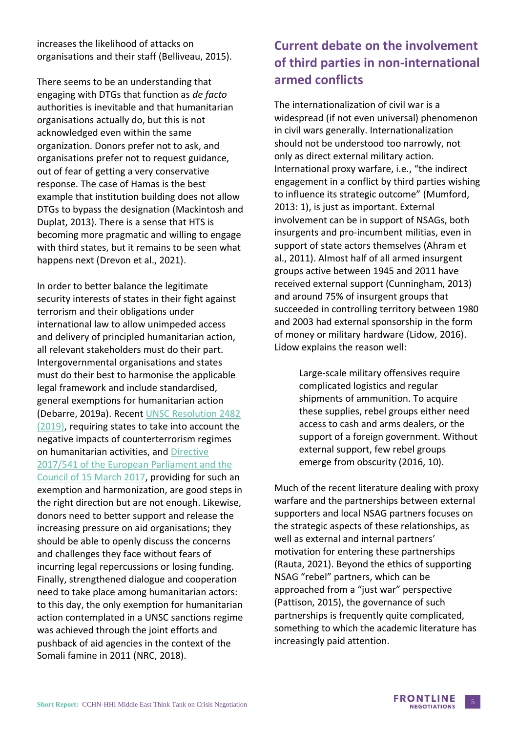increases the likelihood of attacks on organisations and their staff (Belliveau, 2015).

There seems to be an understanding that engaging with DTGs that function as *de facto* authorities is inevitable and that humanitarian organisations actually do, but this is not acknowledged even within the same organization. Donors prefer not to ask, and organisations prefer not to request guidance, out of fear of getting a very conservative response. The case of Hamas is the best example that institution building does not allow DTGs to bypass the designation (Mackintosh and Duplat, 2013). There is a sense that HTS is becoming more pragmatic and willing to engage with third states, but it remains to be seen what happens next (Drevon et al., 2021).

In order to better balance the legitimate security interests of states in their fight against terrorism and their obligations under international law to allow unimpeded access and delivery of principled humanitarian action, all relevant stakeholders must do their part. Intergovernmental organisations and states must do their best to harmonise the applicable legal framework and include standardised, general exemptions for humanitarian action (Debarre, 2019a). Recent [UNSC Resolution 2482](https://digitallibrary.un.org/record/3813038?ln=en#record-files-collapse-header)  [\(2019\),](https://digitallibrary.un.org/record/3813038?ln=en#record-files-collapse-header) requiring states to take into account the negative impacts of counterterrorism regimes on humanitarian activities, and [Directive](https://eur-lex.europa.eu/legal-content/EN/ALL/?uri=celex%3A32017L0541)  [2017/541 of the European Parliament and the](https://eur-lex.europa.eu/legal-content/EN/ALL/?uri=celex%3A32017L0541)  [Council of 15 March 2017,](https://eur-lex.europa.eu/legal-content/EN/ALL/?uri=celex%3A32017L0541) providing for such an exemption and harmonization, are good steps in the right direction but are not enough. Likewise, donors need to better support and release the increasing pressure on aid organisations; they should be able to openly discuss the concerns and challenges they face without fears of incurring legal repercussions or losing funding. Finally, strengthened dialogue and cooperation need to take place among humanitarian actors: to this day, the only exemption for humanitarian action contemplated in a UNSC sanctions regime was achieved through the joint efforts and pushback of aid agencies in the context of the Somali famine in 2011 (NRC, 2018).

### **Current debate on the involvement of third parties in non-international armed conflicts**

The internationalization of civil war is a widespread (if not even universal) phenomenon in civil wars generally. Internationalization should not be understood too narrowly, not only as direct external military action. International proxy warfare, i.e., "the indirect engagement in a conflict by third parties wishing to influence its strategic outcome" (Mumford, 2013: 1), is just as important. External involvement can be in support of NSAGs, both insurgents and pro-incumbent militias, even in support of state actors themselves (Ahram et al., 2011). Almost half of all armed insurgent groups active between 1945 and 2011 have received external support (Cunningham, 2013) and around 75% of insurgent groups that succeeded in controlling territory between 1980 and 2003 had external sponsorship in the form of money or military hardware (Lidow, 2016). Lidow explains the reason well:

> Large-scale military offensives require complicated logistics and regular shipments of ammunition. To acquire these supplies, rebel groups either need access to cash and arms dealers, or the support of a foreign government. Without external support, few rebel groups emerge from obscurity (2016, 10).

Much of the recent literature dealing with proxy warfare and the partnerships between external supporters and local NSAG partners focuses on the strategic aspects of these relationships, as well as external and internal partners' motivation for entering these partnerships (Rauta, 2021). Beyond the ethics of supporting NSAG "rebel" partners, which can be approached from a "just war" perspective (Pattison, 2015), the governance of such partnerships is frequently quite complicated, something to which the academic literature has increasingly paid attention.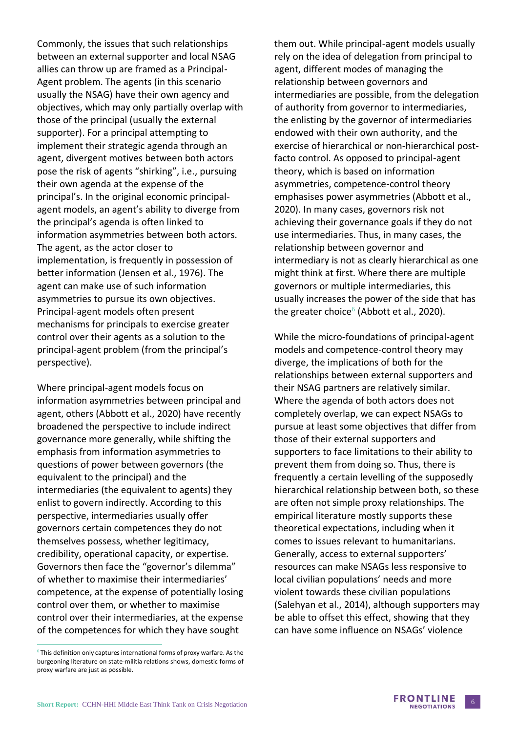Commonly, the issues that such relationships between an external supporter and local NSAG allies can throw up are framed as a Principal-Agent problem. The agents (in this scenario usually the NSAG) have their own agency and objectives, which may only partially overlap with those of the principal (usually the external supporter). For a principal attempting to implement their strategic agenda through an agent, divergent motives between both actors pose the risk of agents "shirking", i.e., pursuing their own agenda at the expense of the principal's. In the original economic principalagent models, an agent's ability to diverge from the principal's agenda is often linked to information asymmetries between both actors. The agent, as the actor closer to implementation, is frequently in possession of better information (Jensen et al., 1976). The agent can make use of such information asymmetries to pursue its own objectives. Principal-agent models often present mechanisms for principals to exercise greater control over their agents as a solution to the principal-agent problem (from the principal's perspective).

Where principal-agent models focus on information asymmetries between principal and agent, others (Abbott et al., 2020) have recently broadened the perspective to include indirect governance more generally, while shifting the emphasis from information asymmetries to questions of power between governors (the equivalent to the principal) and the intermediaries (the equivalent to agents) they enlist to govern indirectly. According to this perspective, intermediaries usually offer governors certain competences they do not themselves possess, whether legitimacy, credibility, operational capacity, or expertise. Governors then face the "governor's dilemma" of whether to maximise their intermediaries' competence, at the expense of potentially losing control over them, or whether to maximise control over their intermediaries, at the expense of the competences for which they have sought

them out. While principal-agent models usually rely on the idea of delegation from principal to agent, different modes of managing the relationship between governors and intermediaries are possible, from the delegation of authority from governor to intermediaries, the enlisting by the governor of intermediaries endowed with their own authority, and the exercise of hierarchical or non-hierarchical postfacto control. As opposed to principal-agent theory, which is based on information asymmetries, competence-control theory emphasises power asymmetries (Abbott et al., 2020). In many cases, governors risk not achieving their governance goals if they do not use intermediaries. Thus, in many cases, the relationship between governor and intermediary is not as clearly hierarchical as one might think at first. Where there are multiple governors or multiple intermediaries, this usually increases the power of the side that has the greater choice<sup>6</sup> (Abbott et al., 2020).

While the micro-foundations of principal-agent models and competence-control theory may diverge, the implications of both for the relationships between external supporters and their NSAG partners are relatively similar. Where the agenda of both actors does not completely overlap, we can expect NSAGs to pursue at least some objectives that differ from those of their external supporters and supporters to face limitations to their ability to prevent them from doing so. Thus, there is frequently a certain levelling of the supposedly hierarchical relationship between both, so these are often not simple proxy relationships. The empirical literature mostly supports these theoretical expectations, including when it comes to issues relevant to humanitarians. Generally, access to external supporters' resources can make NSAGs less responsive to local civilian populations' needs and more violent towards these civilian populations (Salehyan et al., 2014), although supporters may be able to offset this effect, showing that they can have some influence on NSAGs' violence



 $6$  This definition only captures international forms of proxy warfare. As the burgeoning literature on state-militia relations shows, domestic forms of proxy warfare are just as possible.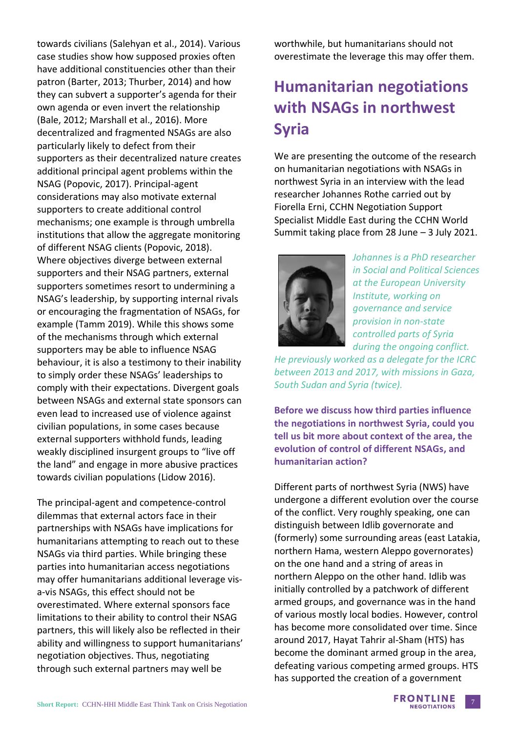towards civilians (Salehyan et al., 2014). Various case studies show how supposed proxies often have additional constituencies other than their patron (Barter, 2013; Thurber, 2014) and how they can subvert a supporter's agenda for their own agenda or even invert the relationship (Bale, 2012; Marshall et al., 2016). More decentralized and fragmented NSAGs are also particularly likely to defect from their supporters as their decentralized nature creates additional principal agent problems within the NSAG (Popovic, 2017). Principal-agent considerations may also motivate external supporters to create additional control mechanisms; one example is through umbrella institutions that allow the aggregate monitoring of different NSAG clients (Popovic, 2018). Where objectives diverge between external supporters and their NSAG partners, external supporters sometimes resort to undermining a NSAG's leadership, by supporting internal rivals or encouraging the fragmentation of NSAGs, for example (Tamm 2019). While this shows some of the mechanisms through which external supporters may be able to influence NSAG behaviour, it is also a testimony to their inability to simply order these NSAGs' leaderships to comply with their expectations. Divergent goals between NSAGs and external state sponsors can even lead to increased use of violence against civilian populations, in some cases because external supporters withhold funds, leading weakly disciplined insurgent groups to "live off the land" and engage in more abusive practices towards civilian populations (Lidow 2016).

The principal-agent and competence-control dilemmas that external actors face in their partnerships with NSAGs have implications for humanitarians attempting to reach out to these NSAGs via third parties. While bringing these parties into humanitarian access negotiations may offer humanitarians additional leverage visa-vis NSAGs, this effect should not be overestimated. Where external sponsors face limitations to their ability to control their NSAG partners, this will likely also be reflected in their ability and willingness to support humanitarians' negotiation objectives. Thus, negotiating through such external partners may well be

worthwhile, but humanitarians should not overestimate the leverage this may offer them.

# **Humanitarian negotiations with NSAGs in northwest Syria**

We are presenting the outcome of the research on humanitarian negotiations with NSAGs in northwest Syria in an interview with the lead researcher Johannes Rothe carried out by Fiorella Erni, CCHN Negotiation Support Specialist Middle East during the CCHN World Summit taking place from 28 June – 3 July 2021.



*Johannes is a PhD researcher in Social and Political Sciences at the European University Institute, working on governance and service provision in non-state controlled parts of Syria during the ongoing conflict.* 

*He previously worked as a delegate for the ICRC between 2013 and 2017, with missions in Gaza, South Sudan and Syria (twice).* 

**Before we discuss how third parties influence the negotiations in northwest Syria, could you tell us bit more about context of the area, the evolution of control of different NSAGs, and humanitarian action?** 

Different parts of northwest Syria (NWS) have undergone a different evolution over the course of the conflict. Very roughly speaking, one can distinguish between Idlib governorate and (formerly) some surrounding areas (east Latakia, northern Hama, western Aleppo governorates) on the one hand and a string of areas in northern Aleppo on the other hand. Idlib was initially controlled by a patchwork of different armed groups, and governance was in the hand of various mostly local bodies. However, control has become more consolidated over time. Since around 2017, Hayat Tahrir al-Sham (HTS) has become the dominant armed group in the area, defeating various competing armed groups. HTS has supported the creation of a government

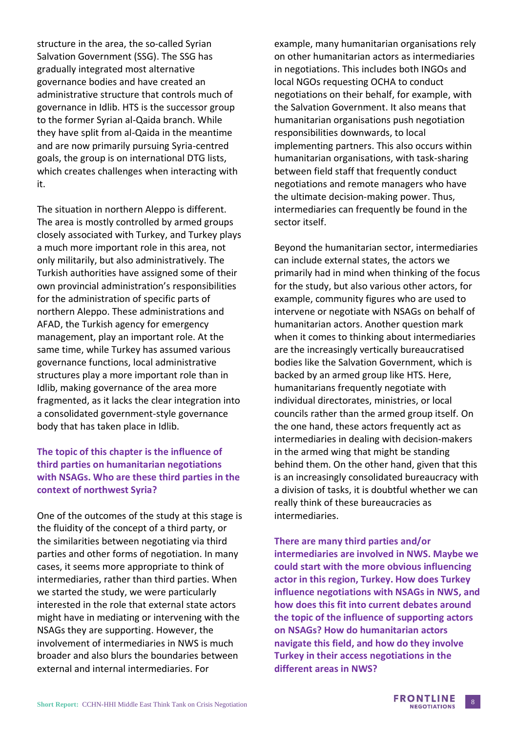structure in the area, the so-called Syrian Salvation Government (SSG). The SSG has gradually integrated most alternative governance bodies and have created an administrative structure that controls much of governance in Idlib. HTS is the successor group to the former Syrian al-Qaida branch. While they have split from al-Qaida in the meantime and are now primarily pursuing Syria-centred goals, the group is on international DTG lists, which creates challenges when interacting with it.

The situation in northern Aleppo is different. The area is mostly controlled by armed groups closely associated with Turkey, and Turkey plays a much more important role in this area, not only militarily, but also administratively. The Turkish authorities have assigned some of their own provincial administration's responsibilities for the administration of specific parts of northern Aleppo. These administrations and AFAD, the Turkish agency for emergency management, play an important role. At the same time, while Turkey has assumed various governance functions, local administrative structures play a more important role than in Idlib, making governance of the area more fragmented, as it lacks the clear integration into a consolidated government-style governance body that has taken place in Idlib.

### **The topic of this chapter is the influence of third parties on humanitarian negotiations with NSAGs. Who are these third parties in the context of northwest Syria?**

One of the outcomes of the study at this stage is the fluidity of the concept of a third party, or the similarities between negotiating via third parties and other forms of negotiation. In many cases, it seems more appropriate to think of intermediaries, rather than third parties. When we started the study, we were particularly interested in the role that external state actors might have in mediating or intervening with the NSAGs they are supporting. However, the involvement of intermediaries in NWS is much broader and also blurs the boundaries between external and internal intermediaries. For

example, many humanitarian organisations rely on other humanitarian actors as intermediaries in negotiations. This includes both INGOs and local NGOs requesting OCHA to conduct negotiations on their behalf, for example, with the Salvation Government. It also means that humanitarian organisations push negotiation responsibilities downwards, to local implementing partners. This also occurs within humanitarian organisations, with task-sharing between field staff that frequently conduct negotiations and remote managers who have the ultimate decision-making power. Thus, intermediaries can frequently be found in the sector itself.

Beyond the humanitarian sector, intermediaries can include external states, the actors we primarily had in mind when thinking of the focus for the study, but also various other actors, for example, community figures who are used to intervene or negotiate with NSAGs on behalf of humanitarian actors. Another question mark when it comes to thinking about intermediaries are the increasingly vertically bureaucratised bodies like the Salvation Government, which is backed by an armed group like HTS. Here, humanitarians frequently negotiate with individual directorates, ministries, or local councils rather than the armed group itself. On the one hand, these actors frequently act as intermediaries in dealing with decision-makers in the armed wing that might be standing behind them. On the other hand, given that this is an increasingly consolidated bureaucracy with a division of tasks, it is doubtful whether we can really think of these bureaucracies as intermediaries.

#### **There are many third parties and/or**

**intermediaries are involved in NWS. Maybe we could start with the more obvious influencing actor in this region, Turkey. How does Turkey influence negotiations with NSAGs in NWS, and how does this fit into current debates around the topic of the influence of supporting actors on NSAGs? How do humanitarian actors navigate this field, and how do they involve Turkey in their access negotiations in the different areas in NWS?**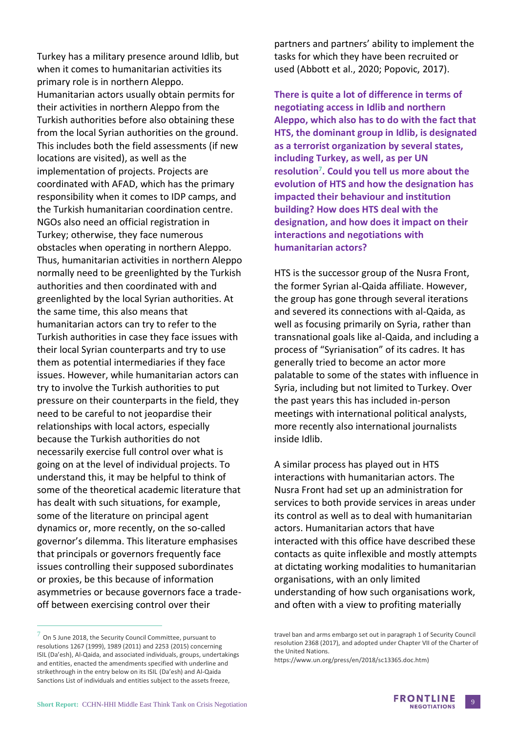Turkey has a military presence around Idlib, but when it comes to humanitarian activities its primary role is in northern Aleppo. Humanitarian actors usually obtain permits for their activities in northern Aleppo from the Turkish authorities before also obtaining these from the local Syrian authorities on the ground. This includes both the field assessments (if new locations are visited), as well as the implementation of projects. Projects are coordinated with AFAD, which has the primary responsibility when it comes to IDP camps, and the Turkish humanitarian coordination centre. NGOs also need an official registration in Turkey; otherwise, they face numerous obstacles when operating in northern Aleppo. Thus, humanitarian activities in northern Aleppo normally need to be greenlighted by the Turkish authorities and then coordinated with and greenlighted by the local Syrian authorities. At the same time, this also means that humanitarian actors can try to refer to the Turkish authorities in case they face issues with their local Syrian counterparts and try to use them as potential intermediaries if they face issues. However, while humanitarian actors can try to involve the Turkish authorities to put pressure on their counterparts in the field, they need to be careful to not jeopardise their relationships with local actors, especially because the Turkish authorities do not necessarily exercise full control over what is going on at the level of individual projects. To understand this, it may be helpful to think of some of the theoretical academic literature that has dealt with such situations, for example, some of the literature on principal agent dynamics or, more recently, on the so-called governor's dilemma. This literature emphasises that principals or governors frequently face issues controlling their supposed subordinates or proxies, be this because of information asymmetries or because governors face a tradeoff between exercising control over their

 $^7$  On 5 June 2018, the Security Council Committee, pursuant to resolutions 1267 (1999), 1989 (2011) and 2253 (2015) concerning ISIL (Da'esh), Al-Qaida, and associated individuals, groups, undertakings and entities, enacted the amendments specified with underline and strikethrough in the entry below on its ISIL (Da'esh) and Al-Qaida Sanctions List of individuals and entities subject to the assets freeze,

partners and partners' ability to implement the tasks for which they have been recruited or used (Abbott et al., 2020; Popovic, 2017).

**There is quite a lot of difference in terms of negotiating access in Idlib and northern Aleppo, which also has to do with the fact that HTS, the dominant group in Idlib, is designated as a terrorist organization by several states, including Turkey, as well, as per UN resolution<sup>7</sup> . Could you tell us more about the evolution of HTS and how the designation has impacted their behaviour and institution building? How does HTS deal with the designation, and how does it impact on their interactions and negotiations with humanitarian actors?** 

HTS is the successor group of the Nusra Front, the former Syrian al-Qaida affiliate. However, the group has gone through several iterations and severed its connections with al-Qaida, as well as focusing primarily on Syria, rather than transnational goals like al-Qaida, and including a process of "Syrianisation" of its cadres. It has generally tried to become an actor more palatable to some of the states with influence in Syria, including but not limited to Turkey. Over the past years this has included in-person meetings with international political analysts, more recently also international journalists inside Idlib.

A similar process has played out in HTS interactions with humanitarian actors. The Nusra Front had set up an administration for services to both provide services in areas under its control as well as to deal with humanitarian actors. Humanitarian actors that have interacted with this office have described these contacts as quite inflexible and mostly attempts at dictating working modalities to humanitarian organisations, with an only limited understanding of how such organisations work, and often with a view to profiting materially

https://www.un.org/press/en/2018/sc13365.doc.htm)



travel ban and arms embargo set out in paragraph 1 of Security Council resolution 2368 (2017), and adopted under Chapter VII of the Charter of the United Nations.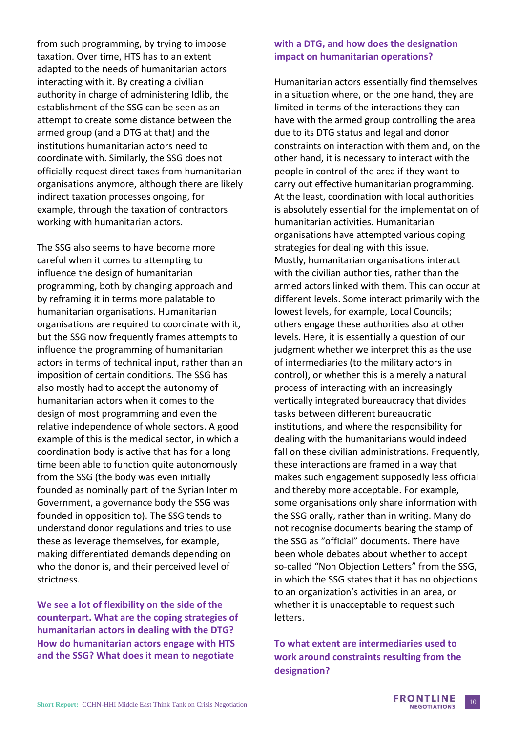from such programming, by trying to impose taxation. Over time, HTS has to an extent adapted to the needs of humanitarian actors interacting with it. By creating a civilian authority in charge of administering Idlib, the establishment of the SSG can be seen as an attempt to create some distance between the armed group (and a DTG at that) and the institutions humanitarian actors need to coordinate with. Similarly, the SSG does not officially request direct taxes from humanitarian organisations anymore, although there are likely indirect taxation processes ongoing, for example, through the taxation of contractors working with humanitarian actors.

The SSG also seems to have become more careful when it comes to attempting to influence the design of humanitarian programming, both by changing approach and by reframing it in terms more palatable to humanitarian organisations. Humanitarian organisations are required to coordinate with it, but the SSG now frequently frames attempts to influence the programming of humanitarian actors in terms of technical input, rather than an imposition of certain conditions. The SSG has also mostly had to accept the autonomy of humanitarian actors when it comes to the design of most programming and even the relative independence of whole sectors. A good example of this is the medical sector, in which a coordination body is active that has for a long time been able to function quite autonomously from the SSG (the body was even initially founded as nominally part of the Syrian Interim Government, a governance body the SSG was founded in opposition to). The SSG tends to understand donor regulations and tries to use these as leverage themselves, for example, making differentiated demands depending on who the donor is, and their perceived level of strictness.

**We see a lot of flexibility on the side of the counterpart. What are the coping strategies of humanitarian actors in dealing with the DTG? How do humanitarian actors engage with HTS and the SSG? What does it mean to negotiate** 

#### **with a DTG, and how does the designation impact on humanitarian operations?**

Humanitarian actors essentially find themselves in a situation where, on the one hand, they are limited in terms of the interactions they can have with the armed group controlling the area due to its DTG status and legal and donor constraints on interaction with them and, on the other hand, it is necessary to interact with the people in control of the area if they want to carry out effective humanitarian programming. At the least, coordination with local authorities is absolutely essential for the implementation of humanitarian activities. Humanitarian organisations have attempted various coping strategies for dealing with this issue. Mostly, humanitarian organisations interact with the civilian authorities, rather than the armed actors linked with them. This can occur at different levels. Some interact primarily with the lowest levels, for example, Local Councils; others engage these authorities also at other levels. Here, it is essentially a question of our judgment whether we interpret this as the use of intermediaries (to the military actors in control), or whether this is a merely a natural process of interacting with an increasingly vertically integrated bureaucracy that divides tasks between different bureaucratic institutions, and where the responsibility for dealing with the humanitarians would indeed fall on these civilian administrations. Frequently, these interactions are framed in a way that makes such engagement supposedly less official and thereby more acceptable. For example, some organisations only share information with the SSG orally, rather than in writing. Many do not recognise documents bearing the stamp of the SSG as "official" documents. There have been whole debates about whether to accept so-called "Non Objection Letters" from the SSG, in which the SSG states that it has no objections to an organization's activities in an area, or whether it is unacceptable to request such letters.

**To what extent are intermediaries used to work around constraints resulting from the designation?**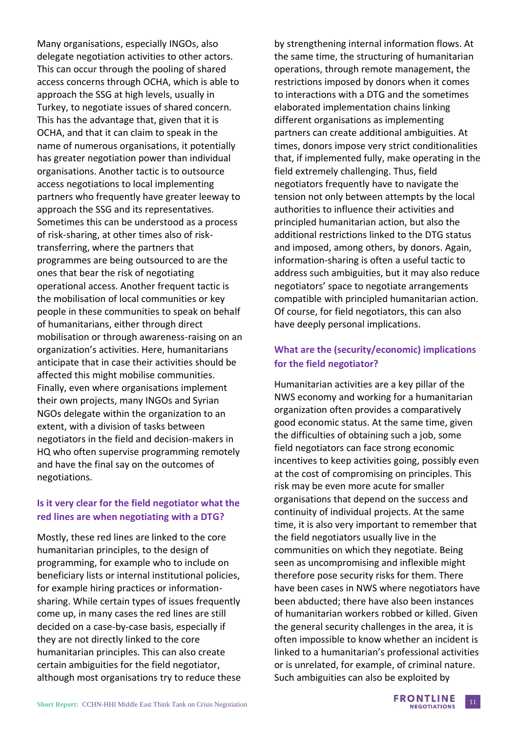Many organisations, especially INGOs, also delegate negotiation activities to other actors. This can occur through the pooling of shared access concerns through OCHA, which is able to approach the SSG at high levels, usually in Turkey, to negotiate issues of shared concern. This has the advantage that, given that it is OCHA, and that it can claim to speak in the name of numerous organisations, it potentially has greater negotiation power than individual organisations. Another tactic is to outsource access negotiations to local implementing partners who frequently have greater leeway to approach the SSG and its representatives. Sometimes this can be understood as a process of risk-sharing, at other times also of risktransferring, where the partners that programmes are being outsourced to are the ones that bear the risk of negotiating operational access. Another frequent tactic is the mobilisation of local communities or key people in these communities to speak on behalf of humanitarians, either through direct mobilisation or through awareness-raising on an organization's activities. Here, humanitarians anticipate that in case their activities should be affected this might mobilise communities. Finally, even where organisations implement their own projects, many INGOs and Syrian NGOs delegate within the organization to an extent, with a division of tasks between negotiators in the field and decision-makers in HQ who often supervise programming remotely and have the final say on the outcomes of negotiations.

### **Is it very clear for the field negotiator what the red lines are when negotiating with a DTG?**

Mostly, these red lines are linked to the core humanitarian principles, to the design of programming, for example who to include on beneficiary lists or internal institutional policies, for example hiring practices or informationsharing. While certain types of issues frequently come up, in many cases the red lines are still decided on a case-by-case basis, especially if they are not directly linked to the core humanitarian principles. This can also create certain ambiguities for the field negotiator, although most organisations try to reduce these by strengthening internal information flows. At the same time, the structuring of humanitarian operations, through remote management, the restrictions imposed by donors when it comes to interactions with a DTG and the sometimes elaborated implementation chains linking different organisations as implementing partners can create additional ambiguities. At times, donors impose very strict conditionalities that, if implemented fully, make operating in the field extremely challenging. Thus, field negotiators frequently have to navigate the tension not only between attempts by the local authorities to influence their activities and principled humanitarian action, but also the additional restrictions linked to the DTG status and imposed, among others, by donors. Again, information-sharing is often a useful tactic to address such ambiguities, but it may also reduce negotiators' space to negotiate arrangements compatible with principled humanitarian action. Of course, for field negotiators, this can also have deeply personal implications.

### **What are the (security/economic) implications for the field negotiator?**

Humanitarian activities are a key pillar of the NWS economy and working for a humanitarian organization often provides a comparatively good economic status. At the same time, given the difficulties of obtaining such a job, some field negotiators can face strong economic incentives to keep activities going, possibly even at the cost of compromising on principles. This risk may be even more acute for smaller organisations that depend on the success and continuity of individual projects. At the same time, it is also very important to remember that the field negotiators usually live in the communities on which they negotiate. Being seen as uncompromising and inflexible might therefore pose security risks for them. There have been cases in NWS where negotiators have been abducted; there have also been instances of humanitarian workers robbed or killed. Given the general security challenges in the area, it is often impossible to know whether an incident is linked to a humanitarian's professional activities or is unrelated, for example, of criminal nature. Such ambiguities can also be exploited by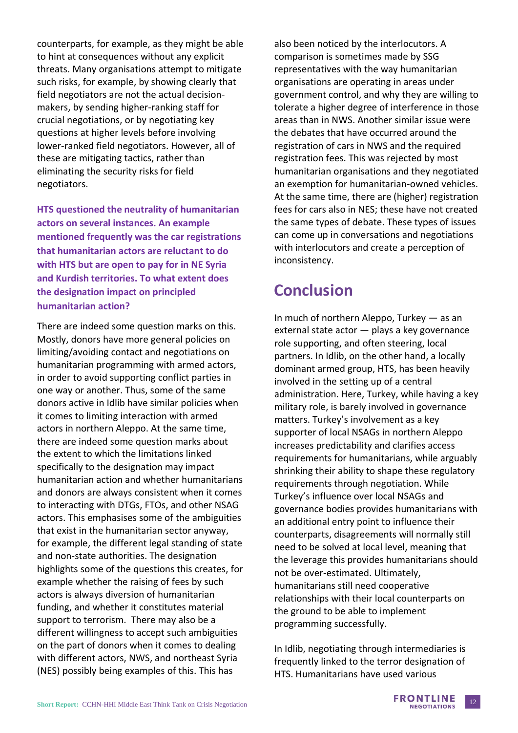counterparts, for example, as they might be able to hint at consequences without any explicit threats. Many organisations attempt to mitigate such risks, for example, by showing clearly that field negotiators are not the actual decisionmakers, by sending higher-ranking staff for crucial negotiations, or by negotiating key questions at higher levels before involving lower-ranked field negotiators. However, all of these are mitigating tactics, rather than eliminating the security risks for field negotiators.

**HTS questioned the neutrality of humanitarian actors on several instances. An example mentioned frequently was the car registrations that humanitarian actors are reluctant to do with HTS but are open to pay for in NE Syria and Kurdish territories. To what extent does the designation impact on principled humanitarian action?**

There are indeed some question marks on this. Mostly, donors have more general policies on limiting/avoiding contact and negotiations on humanitarian programming with armed actors, in order to avoid supporting conflict parties in one way or another. Thus, some of the same donors active in Idlib have similar policies when it comes to limiting interaction with armed actors in northern Aleppo. At the same time, there are indeed some question marks about the extent to which the limitations linked specifically to the designation may impact humanitarian action and whether humanitarians and donors are always consistent when it comes to interacting with DTGs, FTOs, and other NSAG actors. This emphasises some of the ambiguities that exist in the humanitarian sector anyway, for example, the different legal standing of state and non-state authorities. The designation highlights some of the questions this creates, for example whether the raising of fees by such actors is always diversion of humanitarian funding, and whether it constitutes material support to terrorism. There may also be a different willingness to accept such ambiguities on the part of donors when it comes to dealing with different actors, NWS, and northeast Syria (NES) possibly being examples of this. This has

also been noticed by the interlocutors. A comparison is sometimes made by SSG representatives with the way humanitarian organisations are operating in areas under government control, and why they are willing to tolerate a higher degree of interference in those areas than in NWS. Another similar issue were the debates that have occurred around the registration of cars in NWS and the required registration fees. This was rejected by most humanitarian organisations and they negotiated an exemption for humanitarian-owned vehicles. At the same time, there are (higher) registration fees for cars also in NES; these have not created the same types of debate. These types of issues can come up in conversations and negotiations with interlocutors and create a perception of inconsistency.

## **Conclusion**

In much of northern Aleppo, Turkey — as an external state actor — plays a key governance role supporting, and often steering, local partners. In Idlib, on the other hand, a locally dominant armed group, HTS, has been heavily involved in the setting up of a central administration. Here, Turkey, while having a key military role, is barely involved in governance matters. Turkey's involvement as a key supporter of local NSAGs in northern Aleppo increases predictability and clarifies access requirements for humanitarians, while arguably shrinking their ability to shape these regulatory requirements through negotiation. While Turkey's influence over local NSAGs and governance bodies provides humanitarians with an additional entry point to influence their counterparts, disagreements will normally still need to be solved at local level, meaning that the leverage this provides humanitarians should not be over-estimated. Ultimately, humanitarians still need cooperative relationships with their local counterparts on the ground to be able to implement programming successfully.

In Idlib, negotiating through intermediaries is frequently linked to the terror designation of HTS. Humanitarians have used various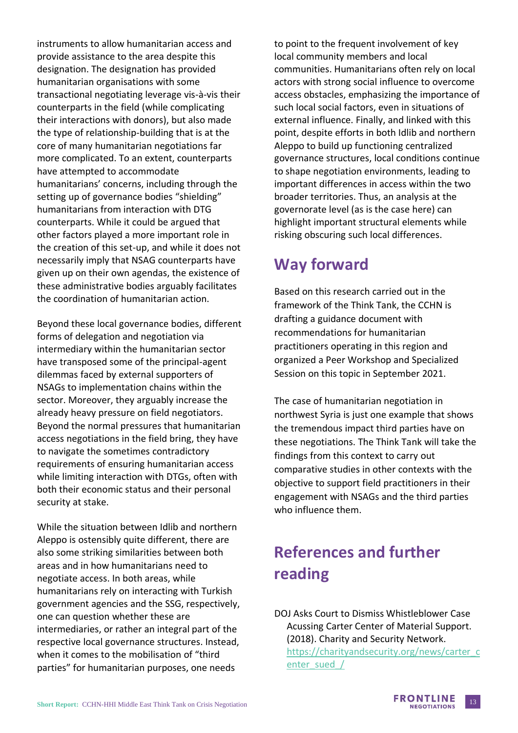instruments to allow humanitarian access and provide assistance to the area despite this designation. The designation has provided humanitarian organisations with some transactional negotiating leverage vis-à-vis their counterparts in the field (while complicating their interactions with donors), but also made the type of relationship-building that is at the core of many humanitarian negotiations far more complicated. To an extent, counterparts have attempted to accommodate humanitarians' concerns, including through the setting up of governance bodies "shielding" humanitarians from interaction with DTG counterparts. While it could be argued that other factors played a more important role in the creation of this set-up, and while it does not necessarily imply that NSAG counterparts have given up on their own agendas, the existence of these administrative bodies arguably facilitates the coordination of humanitarian action.

Beyond these local governance bodies, different forms of delegation and negotiation via intermediary within the humanitarian sector have transposed some of the principal-agent dilemmas faced by external supporters of NSAGs to implementation chains within the sector. Moreover, they arguably increase the already heavy pressure on field negotiators. Beyond the normal pressures that humanitarian access negotiations in the field bring, they have to navigate the sometimes contradictory requirements of ensuring humanitarian access while limiting interaction with DTGs, often with both their economic status and their personal security at stake.

While the situation between Idlib and northern Aleppo is ostensibly quite different, there are also some striking similarities between both areas and in how humanitarians need to negotiate access. In both areas, while humanitarians rely on interacting with Turkish government agencies and the SSG, respectively, one can question whether these are intermediaries, or rather an integral part of the respective local governance structures. Instead, when it comes to the mobilisation of "third parties" for humanitarian purposes, one needs

to point to the frequent involvement of key local community members and local communities. Humanitarians often rely on local actors with strong social influence to overcome access obstacles, emphasizing the importance of such local social factors, even in situations of external influence. Finally, and linked with this point, despite efforts in both Idlib and northern Aleppo to build up functioning centralized governance structures, local conditions continue to shape negotiation environments, leading to important differences in access within the two broader territories. Thus, an analysis at the governorate level (as is the case here) can highlight important structural elements while risking obscuring such local differences.

# **Way forward**

Based on this research carried out in the framework of the Think Tank, the CCHN is drafting a guidance document with recommendations for humanitarian practitioners operating in this region and organized a Peer Workshop and Specialized Session on this topic in September 2021.

The case of humanitarian negotiation in northwest Syria is just one example that shows the tremendous impact third parties have on these negotiations. The Think Tank will take the findings from this context to carry out comparative studies in other contexts with the objective to support field practitioners in their engagement with NSAGs and the third parties who influence them.

# **References and further reading**

DOJ Asks Court to Dismiss Whistleblower Case Acussing Carter Center of Material Support. (2018). Charity and Security Network. [https://charityandsecurity.org/news/carter\\_c](https://charityandsecurity.org/news/carter_center_sued_/) enter\_sued /

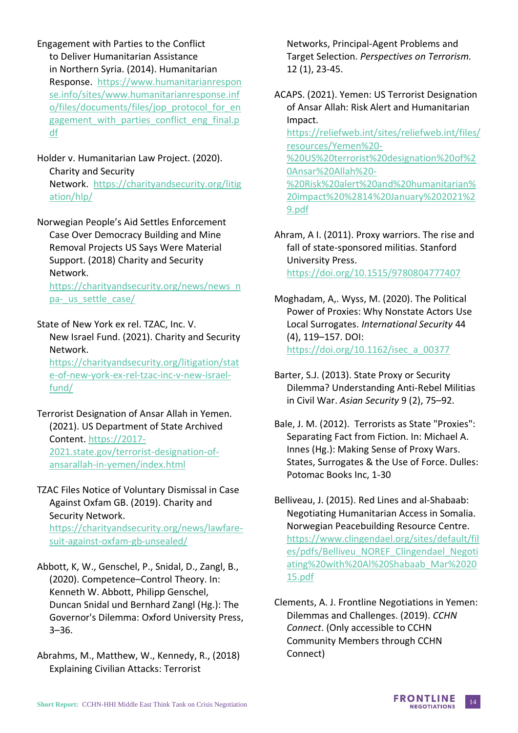Engagement with Parties to the Conflict to Deliver Humanitarian Assistance in Northern Syria. (2014). Humanitarian Response. [https://www.humanitarianrespon](https://www.humanitarianresponse.info/sites/www.humanitarianresponse.info/files/documents/files/jop_protocol_for_engagement_with_parties_conflict_eng_final.pdf) [se.info/sites/www.humanitarianresponse.inf](https://www.humanitarianresponse.info/sites/www.humanitarianresponse.info/files/documents/files/jop_protocol_for_engagement_with_parties_conflict_eng_final.pdf) [o/files/documents/files/jop\\_protocol\\_for\\_en](https://www.humanitarianresponse.info/sites/www.humanitarianresponse.info/files/documents/files/jop_protocol_for_engagement_with_parties_conflict_eng_final.pdf) gagement with parties conflict eng final.p [df](https://www.humanitarianresponse.info/sites/www.humanitarianresponse.info/files/documents/files/jop_protocol_for_engagement_with_parties_conflict_eng_final.pdf)

Holder v. Humanitarian Law Project. (2020). Charity and Security Network. [https://charityandsecurity.org/litig](https://charityandsecurity.org/litigation/hlp/) [ation/hlp/](https://charityandsecurity.org/litigation/hlp/) 

Norwegian People's Aid Settles Enforcement Case Over Democracy Building and Mine Removal Projects US Says Were Material Support. (2018) Charity and Security Network.

[https://charityandsecurity.org/news/news\\_n](https://charityandsecurity.org/news/news_npa-_us_settle_case/) pa- us settle case/

State of New York ex rel. TZAC, Inc. V. New Israel Fund. (2021). Charity and Security Network.

[https://charityandsecurity.org/litigation/stat](https://charityandsecurity.org/litigation/state-of-new-york-ex-rel-tzac-inc-v-new-israel-fund/) [e-of-new-york-ex-rel-tzac-inc-v-new-israel](https://charityandsecurity.org/litigation/state-of-new-york-ex-rel-tzac-inc-v-new-israel-fund/)[fund/](https://charityandsecurity.org/litigation/state-of-new-york-ex-rel-tzac-inc-v-new-israel-fund/)

Terrorist Designation of Ansar Allah in Yemen. (2021). US Department of State Archived Content. [https://2017-](https://2017-2021.state.gov/terrorist-designation-of-ansarallah-in-yemen/index.html) [2021.state.gov/terrorist-designation-of](https://2017-2021.state.gov/terrorist-designation-of-ansarallah-in-yemen/index.html)[ansarallah-in-yemen/index.html](https://2017-2021.state.gov/terrorist-designation-of-ansarallah-in-yemen/index.html)

TZAC Files Notice of Voluntary Dismissal in Case Against Oxfam GB. (2019). Charity and Security Network. [https://charityandsecurity.org/news/lawfare](https://charityandsecurity.org/news/lawfare-suit-against-oxfam-gb-unsealed/)[suit-against-oxfam-gb-unsealed/](https://charityandsecurity.org/news/lawfare-suit-against-oxfam-gb-unsealed/)

Abbott, K, W., Genschel, P., Snidal, D., Zangl, B., (2020). Competence–Control Theory. In: Kenneth W. Abbott, Philipp Genschel, Duncan Snidal und Bernhard Zangl (Hg.): The Governor's Dilemma: Oxford University Press, 3–36.

Abrahms, M., Matthew, W., Kennedy, R., (2018) Explaining Civilian Attacks: Terrorist

Networks, Principal-Agent Problems and Target Selection. *Perspectives on Terrorism.* 12 (1), 23-45.

ACAPS. (2021). Yemen: US Terrorist Designation of Ansar Allah: Risk Alert and Humanitarian Impact. [https://reliefweb.int/sites/reliefweb.int/files/](https://reliefweb.int/sites/reliefweb.int/files/resources/Yemen%20-%20US%20terrorist%20designation%20of%20Ansar%20Allah%20-%20Risk%20alert%20and%20humanitarian%20impact%20%2814%20January%202021%29.pdf) [resources/Yemen%20-](https://reliefweb.int/sites/reliefweb.int/files/resources/Yemen%20-%20US%20terrorist%20designation%20of%20Ansar%20Allah%20-%20Risk%20alert%20and%20humanitarian%20impact%20%2814%20January%202021%29.pdf) [%20US%20terrorist%20designation%20of%2](https://reliefweb.int/sites/reliefweb.int/files/resources/Yemen%20-%20US%20terrorist%20designation%20of%20Ansar%20Allah%20-%20Risk%20alert%20and%20humanitarian%20impact%20%2814%20January%202021%29.pdf) [0Ansar%20Allah%20-](https://reliefweb.int/sites/reliefweb.int/files/resources/Yemen%20-%20US%20terrorist%20designation%20of%20Ansar%20Allah%20-%20Risk%20alert%20and%20humanitarian%20impact%20%2814%20January%202021%29.pdf) [%20Risk%20alert%20and%20humanitarian%](https://reliefweb.int/sites/reliefweb.int/files/resources/Yemen%20-%20US%20terrorist%20designation%20of%20Ansar%20Allah%20-%20Risk%20alert%20and%20humanitarian%20impact%20%2814%20January%202021%29.pdf) [20impact%20%2814%20January%202021%2](https://reliefweb.int/sites/reliefweb.int/files/resources/Yemen%20-%20US%20terrorist%20designation%20of%20Ansar%20Allah%20-%20Risk%20alert%20and%20humanitarian%20impact%20%2814%20January%202021%29.pdf) [9.pdf](https://reliefweb.int/sites/reliefweb.int/files/resources/Yemen%20-%20US%20terrorist%20designation%20of%20Ansar%20Allah%20-%20Risk%20alert%20and%20humanitarian%20impact%20%2814%20January%202021%29.pdf)

Ahram, A I. (2011). Proxy warriors. The rise and fall of state-sponsored militias. Stanford University Press. <https://doi.org/10.1515/9780804777407>

Moghadam, A,. Wyss, M. (2020). The Political Power of Proxies: Why Nonstate Actors Use Local Surrogates. *International Security* 44 (4), 119–157. DOI: [https://doi.org/10.1162/isec\\_a\\_00377](https://doi.org/10.1162/isec_a_00377)

Barter, S.J. (2013). State Proxy or Security Dilemma? Understanding Anti-Rebel Militias in Civil War. *Asian Security* 9 (2), 75–92.

Bale, J. M. (2012). Terrorists as State "Proxies": Separating Fact from Fiction. In: Michael A. Innes (Hg.): Making Sense of Proxy Wars. States, Surrogates & the Use of Force. Dulles: Potomac Books Inc, 1-30

Belliveau, J. (2015). Red Lines and al-Shabaab: Negotiating Humanitarian Access in Somalia. Norwegian Peacebuilding Resource Centre. [https://www.clingendael.org/sites/default/fil](https://www.clingendael.org/sites/default/files/pdfs/Belliveu_NOREF_Clingendael_Negotiating%20with%20Al%20Shabaab_Mar%202015.pdf) [es/pdfs/Belliveu\\_NOREF\\_Clingendael\\_Negoti](https://www.clingendael.org/sites/default/files/pdfs/Belliveu_NOREF_Clingendael_Negotiating%20with%20Al%20Shabaab_Mar%202015.pdf) [ating%20with%20Al%20Shabaab\\_Mar%2020](https://www.clingendael.org/sites/default/files/pdfs/Belliveu_NOREF_Clingendael_Negotiating%20with%20Al%20Shabaab_Mar%202015.pdf) [15.pdf](https://www.clingendael.org/sites/default/files/pdfs/Belliveu_NOREF_Clingendael_Negotiating%20with%20Al%20Shabaab_Mar%202015.pdf)

Clements, A. J. Frontline Negotiations in Yemen: Dilemmas and Challenges. (2019). *CCHN Connect*. (Only accessible to CCHN Community Members through CCHN Connect)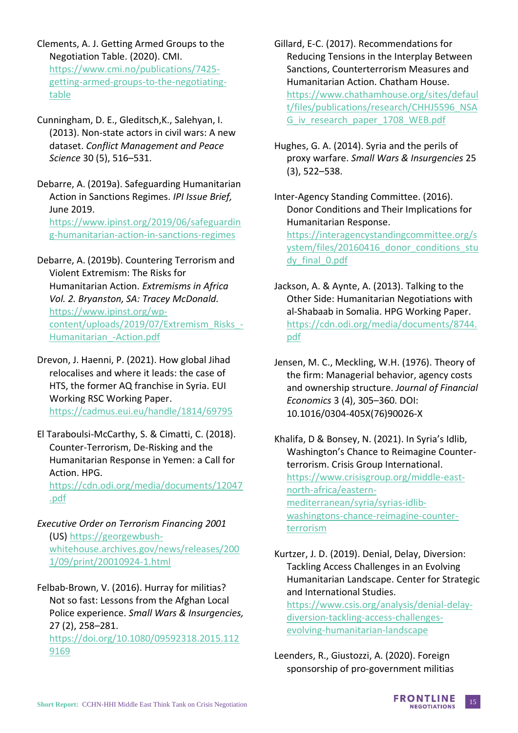Clements, A. J. Getting Armed Groups to the Negotiation Table. (2020). CMI. https://www.cmi.no/publications/7425 getting-armed-groups-to-the-negotiatingtable

Cunningham, D. E., Gleditsch,K., Salehyan, I. (2013). Non-state actors in civil wars: A new dataset. *Conflict Management and Peace Science* 30 (5), 516–531.

Debarre, A. (2019a). Safeguarding Humanitarian Action in Sanctions Regimes. *IPI Issue Brief,*  June 2019. https://www.ipinst.org/2019/06/safeguardin g-humanitarian-action-in-sanctions-regimes

Debarre, A. (2019b). Countering Terrorism and Violent Extremism: The Risks for Humanitarian Action. *Extremisms in Africa Vol. 2. Bryanston, SA: Tracey McDonald.* https://www.ipinst.org/wpcontent/uploads/2019/07/Extremism\_Risks\_- Humanitarian\_-Action.pdf

Drevon, J. Haenni, P. (2021). How global Jihad relocalises and where it leads: the case of HTS, the former AQ franchise in Syria. EUI Working RSC Working Paper. https://cadmus.eui.eu/handle/1814/69795

El Taraboulsi-McCarthy, S. & Cimatti, C. (2018). Counter-Terrorism, De-Risking and the Humanitarian Response in Yemen: a Call for Action. HPG.

https://cdn.odi.org/media/documents/12047 .pdf

- *Executive Order on Terrorism Financing 2001* (US) https://georgewbushwhitehouse.archives.gov/news/releases/200 1/09/print/20010924-1.html
- Felbab-Brown, V. (2016). Hurray for militias? Not so fast: Lessons from the Afghan Local Police experience. *Small Wars & Insurgencies,*  27 (2), 258–281.

https://doi.org/10.1080/09592318.2015.112 9169

- Gillard, E-C. (2017). Recommendations for Reducing Tensions in the Interplay Between Sanctions, Counterterrorism Measures and Humanitarian Action. Chatham House. https://www.chathamhouse.org/sites/defaul t/files/publications/research/CHHJ5596\_NSA G\_iv\_research\_paper\_1708\_WEB.pdf
- Hughes, G. A. (2014). Syria and the perils of proxy warfare. *Small Wars & Insurgencies* 25 (3), 522–538.

Inter-Agency Standing Committee. (2016). Donor Conditions and Their Implications for Humanitarian Response. https://interagencystandingcommittee.org/s ystem/files/20160416\_donor\_conditions\_stu dy\_final\_0.pdf

- Jackson, A. & Aynte, A. (2013). Talking to the Other Side: Humanitarian Negotiations with al-Shabaab in Somalia. HPG Working Paper. https://cdn.odi.org/media/documents/8744. pdf
- Jensen, M. C., Meckling, W.H. (1976). Theory of the firm: Managerial behavior, agency costs and ownership structure. *Journal of Financial Economics* 3 (4), 305–360. DOI: 10.1016/0304-405X(76)90026-X

Khalifa, D & Bonsey, N. (2021). In Syria's Idlib, Washington's Chance to Reimagine Counterterrorism. Crisis Group International. https://www.crisisgroup.org/middle-eastnorth-africa/easternmediterranean/syria/syrias-idlibwashingtons-chance-reimagine-counterterrorism

Kurtzer, J. D. (2019). Denial, Delay, Diversion: Tackling Access Challenges in an Evolving Humanitarian Landscape. Center for Strategic and International Studies. https://www.csis.org/analysis/denial-delaydiversion-tackling-access-challengesevolving-humanitarian-landscape

Leenders, R., Giustozzi, A. (2020). Foreign sponsorship of pro-government militias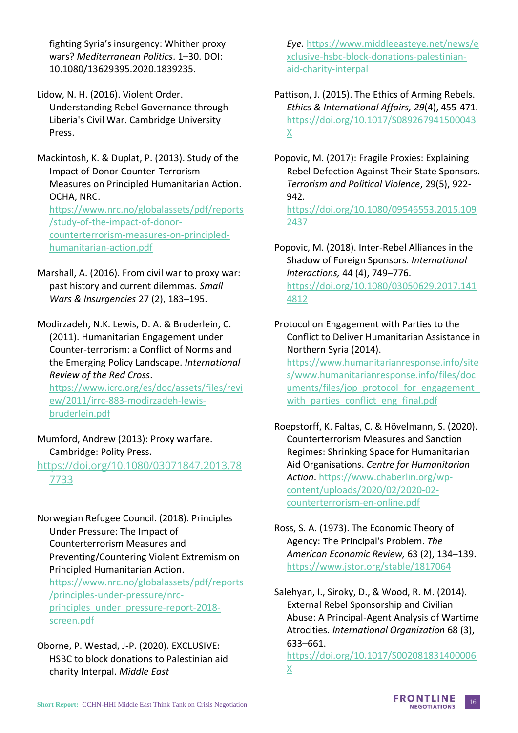fighting Syria's insurgency: Whither proxy wars? *Mediterranean Politics*. 1–30. DOI: 10.1080/13629395.2020.1839235.

Lidow, N. H. (2016). Violent Order. Understanding Rebel Governance through Liberia's Civil War. Cambridge University Press.

Mackintosh, K. & Duplat, P. (2013). Study of the Impact of Donor Counter-Terrorism Measures on Principled Humanitarian Action. OCHA, NRC. https://www.nrc.no/globalassets/pdf/reports /study-of-the-impact-of-donorcounterterrorism-measures-on-principledhumanitarian-action.pdf

Marshall, A. (2016). From civil war to proxy war: past history and current dilemmas. *Small Wars & Insurgencies* 27 (2), 183–195.

Modirzadeh, N.K. Lewis, D. A. & Bruderlein, C. (2011). Humanitarian Engagement under Counter-terrorism: a Conflict of Norms and the Emerging Policy Landscape. *International Review of the Red Cross*.

https://www.icrc.org/es/doc/assets/files/revi ew/2011/irrc-883-modirzadeh-lewisbruderlein.pdf

Mumford, Andrew (2013): Proxy warfare. Cambridge: Polity Press.

https://doi.org/10.1080/03071847.2013.78 7733

Norwegian Refugee Council. (2018). Principles Under Pressure: The Impact of Counterterrorism Measures and Preventing/Countering Violent Extremism on Principled Humanitarian Action. https://www.nrc.no/globalassets/pdf/reports /principles-under-pressure/nrcprinciples under pressure-report-2018screen.pdf

Oborne, P. Westad, J-P. (2020). EXCLUSIVE: HSBC to block donations to Palestinian aid charity Interpal. *Middle East* 

*Eye.* https://www.middleeasteye.net/news/e xclusive-hsbc-block-donations-palestinianaid-charity-interpal

Pattison, J. (2015). The Ethics of Arming Rebels. *Ethics & International Affairs, 29*(4), 455-471. https://doi.org/10.1017/S089267941500043 X

Popovic, M. (2017): Fragile Proxies: Explaining Rebel Defection Against Their State Sponsors. *Terrorism and Political Violence*, 29(5), 922- 942. https://doi.org/10.1080/09546553.2015.109

2437

Popovic, M. (2018). Inter-Rebel Alliances in the Shadow of Foreign Sponsors. *International Interactions,* 44 (4), 749–776. https://doi.org/10.1080/03050629.2017.141 4812

Protocol on Engagement with Parties to the Conflict to Deliver Humanitarian Assistance in Northern Syria (2014).

https://www.humanitarianresponse.info/site s/www.humanitarianresponse.info/files/doc uments/files/jop\_protocol\_for\_engagement with\_parties\_conflict\_eng\_final.pdf

Roepstorff, K. Faltas, C. & Hövelmann, S. (2020). Counterterrorism Measures and Sanction Regimes: Shrinking Space for Humanitarian Aid Organisations. *Centre for Humanitarian Action*. https://www.chaberlin.org/wpcontent/uploads/2020/02/2020-02 counterterrorism-en-online.pdf

Ross, S. A. (1973). The Economic Theory of Agency: The Principal's Problem. *The American Economic Review,* 63 (2), 134–139. https://www.jstor.org/stable/1817064

Salehyan, I., Siroky, D., & Wood, R. M. (2014). External Rebel Sponsorship and Civilian Abuse: A Principal-Agent Analysis of Wartime Atrocities. *International Organization* 68 (3), 633–661.

https://doi.org/10.1017/S002081831400006 X